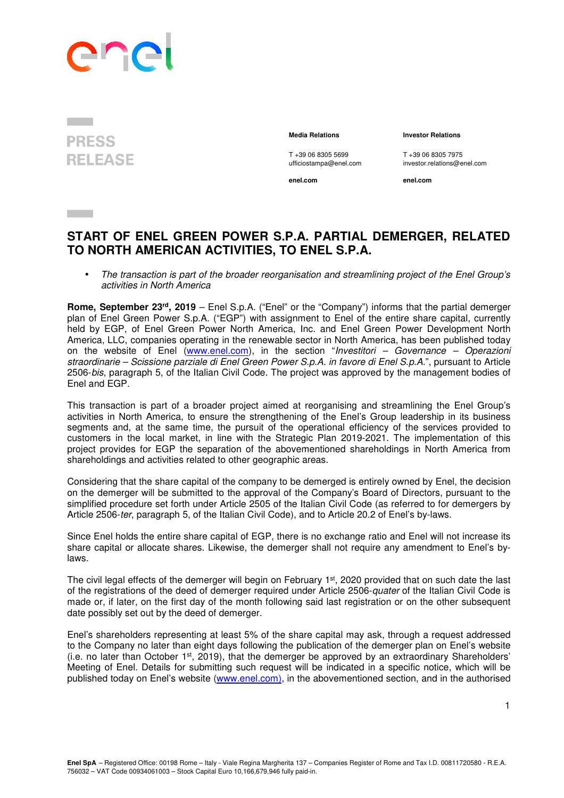

**PRESS RELEASE** 

T +39 06 8305 5699 T +39 06 8305 7975

**enel.com enel.com**

 **Media Relations Investor Relations** 

ufficiostampa@enel.com investor.relations@enel.com

**START OF ENEL GREEN POWER S.P.A. PARTIAL DEMERGER, RELATED TO NORTH AMERICAN ACTIVITIES, TO ENEL S.P.A.** 

• The transaction is part of the broader reorganisation and streamlining project of the Enel Group's activities in North America

**Rome, September 23rd, 2019** – Enel S.p.A. ("Enel" or the "Company") informs that the partial demerger plan of Enel Green Power S.p.A. ("EGP") with assignment to Enel of the entire share capital, currently held by EGP, of Enel Green Power North America, Inc. and Enel Green Power Development North America, LLC, companies operating in the renewable sector in North America, has been published today on the website of Enel (www.enel.com), in the section "Investitori – Governance – Operazioni straordinarie – Scissione parziale di Enel Green Power S.p.A. in favore di Enel S.p.A.", pursuant to Article 2506-bis, paragraph 5, of the Italian Civil Code. The project was approved by the management bodies of Enel and EGP.

This transaction is part of a broader project aimed at reorganising and streamlining the Enel Group's activities in North America, to ensure the strengthening of the Enel's Group leadership in its business segments and, at the same time, the pursuit of the operational efficiency of the services provided to customers in the local market, in line with the Strategic Plan 2019-2021. The implementation of this project provides for EGP the separation of the abovementioned shareholdings in North America from shareholdings and activities related to other geographic areas.

Considering that the share capital of the company to be demerged is entirely owned by Enel, the decision on the demerger will be submitted to the approval of the Company's Board of Directors, pursuant to the simplified procedure set forth under Article 2505 of the Italian Civil Code (as referred to for demergers by Article 2506-ter, paragraph 5, of the Italian Civil Code), and to Article 20.2 of Enel's by-laws.

Since Enel holds the entire share capital of EGP, there is no exchange ratio and Enel will not increase its share capital or allocate shares. Likewise, the demerger shall not require any amendment to Enel's bylaws.

The civil legal effects of the demerger will begin on February 1<sup>st</sup>, 2020 provided that on such date the last of the registrations of the deed of demerger required under Article 2506-quater of the Italian Civil Code is made or, if later, on the first day of the month following said last registration or on the other subsequent date possibly set out by the deed of demerger.

Enel's shareholders representing at least 5% of the share capital may ask, through a request addressed to the Company no later than eight days following the publication of the demerger plan on Enel's website (i.e. no later than October 1st, 2019), that the demerger be approved by an extraordinary Shareholders' Meeting of Enel. Details for submitting such request will be indicated in a specific notice, which will be published today on Enel's website (www.enel.com), in the abovementioned section, and in the authorised